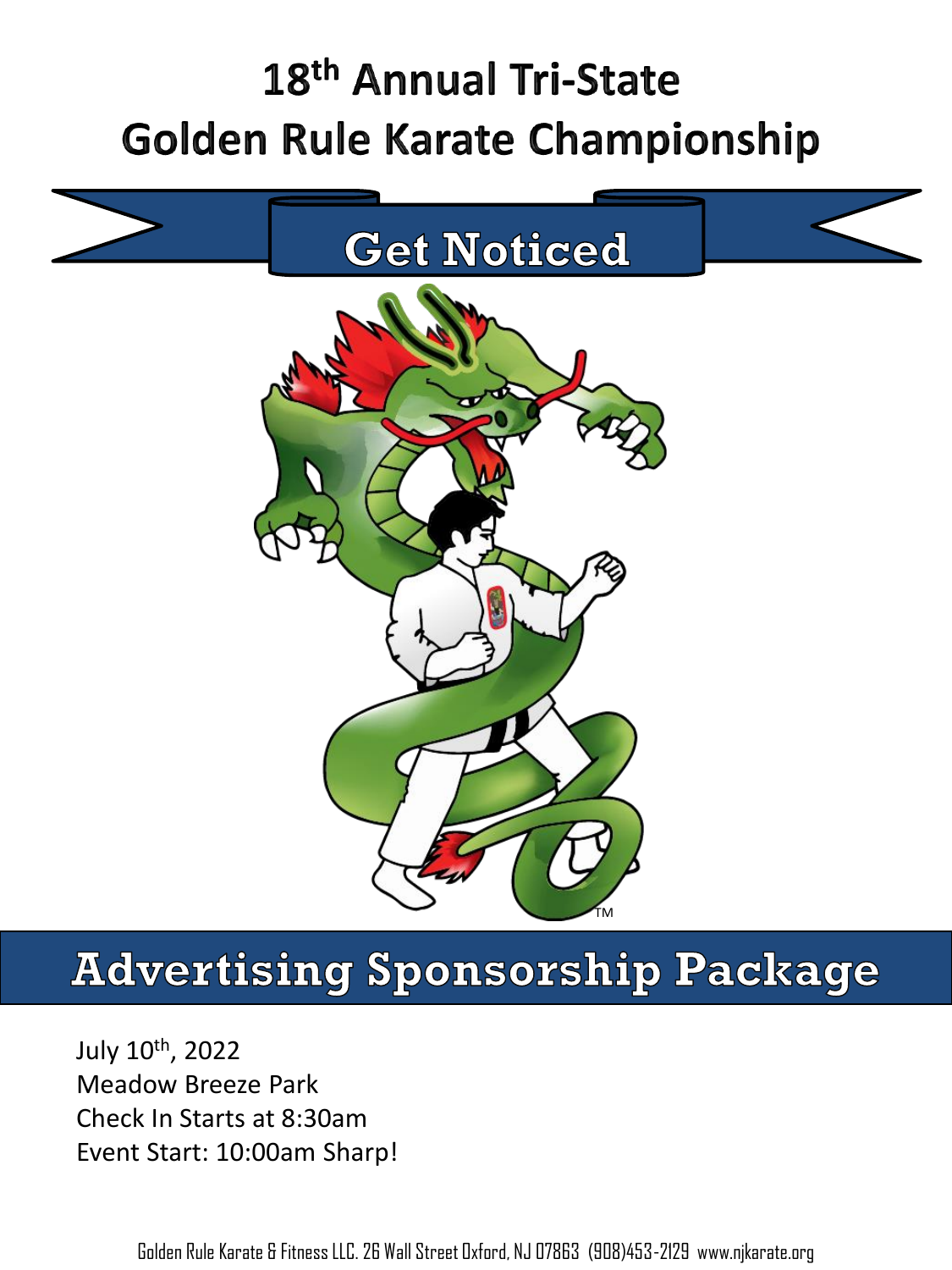# 18<sup>th</sup> Annual Tri-State **Golden Rule Karate Championship**



# **Advertising Sponsorship Package**

July 10th, 2022 Meadow Breeze Park Check In Starts at 8:30am Event Start: 10:00am Sharp!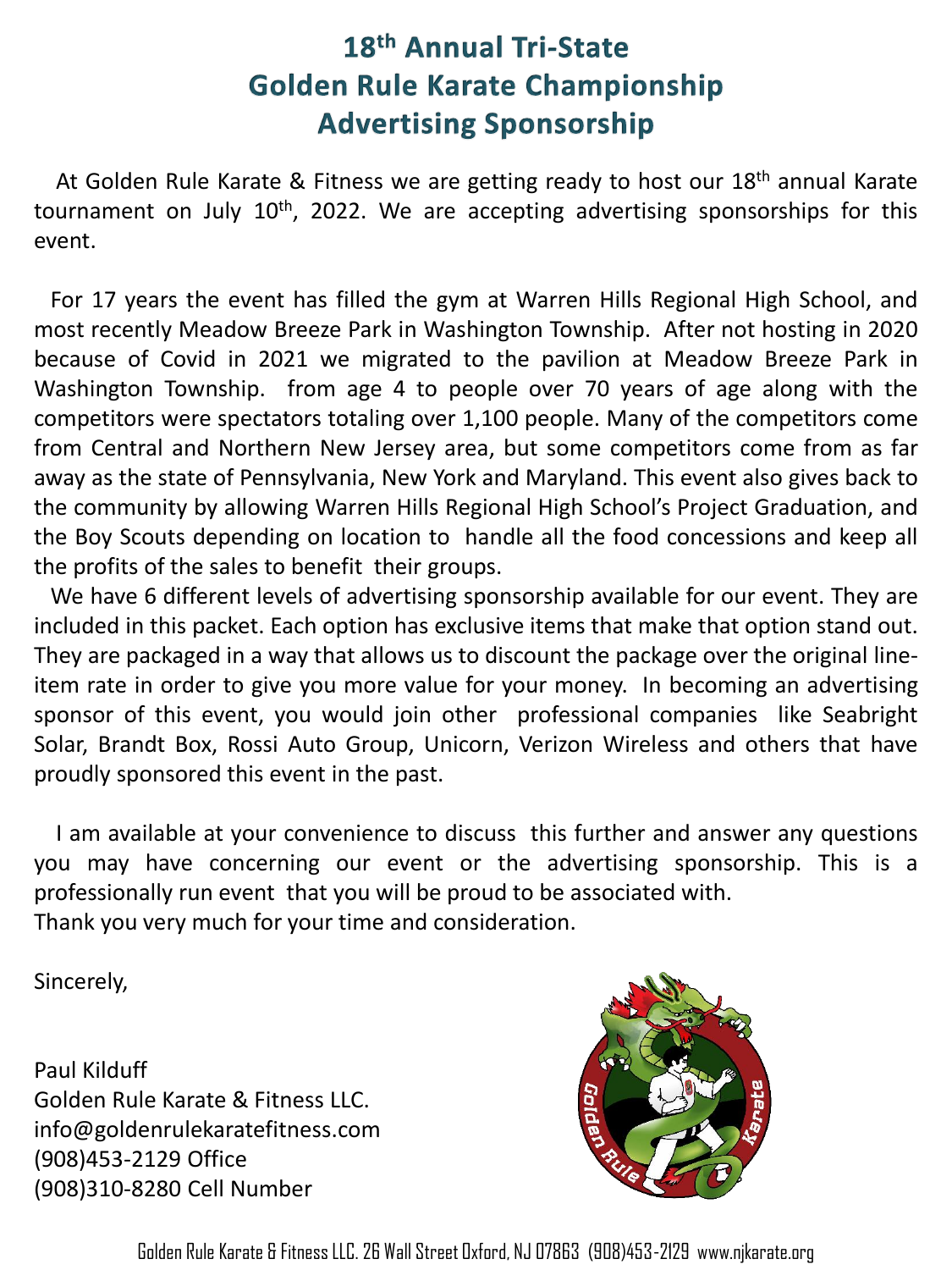At Golden Rule Karate & Fitness we are getting ready to host our 18th annual Karate tournament on July 10<sup>th</sup>, 2022. We are accepting advertising sponsorships for this event.

For 17 years the event has filled the gym at Warren Hills Regional High School, and most recently Meadow Breeze Park in Washington Township. After not hosting in 2020 because of Covid in 2021 we migrated to the pavilion at Meadow Breeze Park in Washington Township. from age 4 to people over 70 years of age along with the competitors were spectators totaling over 1,100 people. Many of the competitors come from Central and Northern New Jersey area, but some competitors come from as far away as the state of Pennsylvania, New York and Maryland. This event also gives back to the community by allowing Warren Hills Regional High School's Project Graduation, and the Boy Scouts depending on location to handle all the food concessions and keep all the profits of the sales to benefit their groups.

We have 6 different levels of advertising sponsorship available for our event. They are included in this packet. Each option has exclusive items that make that option stand out. They are packaged in a way that allows us to discount the package over the original lineitem rate in order to give you more value for your money. In becoming an advertising sponsor of this event, you would join other professional companies like Seabright Solar, Brandt Box, Rossi Auto Group, Unicorn, Verizon Wireless and others that have proudly sponsored this event in the past.

I am available at your convenience to discuss this further and answer any questions you may have concerning our event or the advertising sponsorship. This is a professionally run event that you will be proud to be associated with. Thank you very much for your time and consideration.

Sincerely,

Paul Kilduff Golden Rule Karate & Fitness LLC. info@goldenrulekaratefitness.com (908)453-2129 Office (908)310-8280 Cell Number

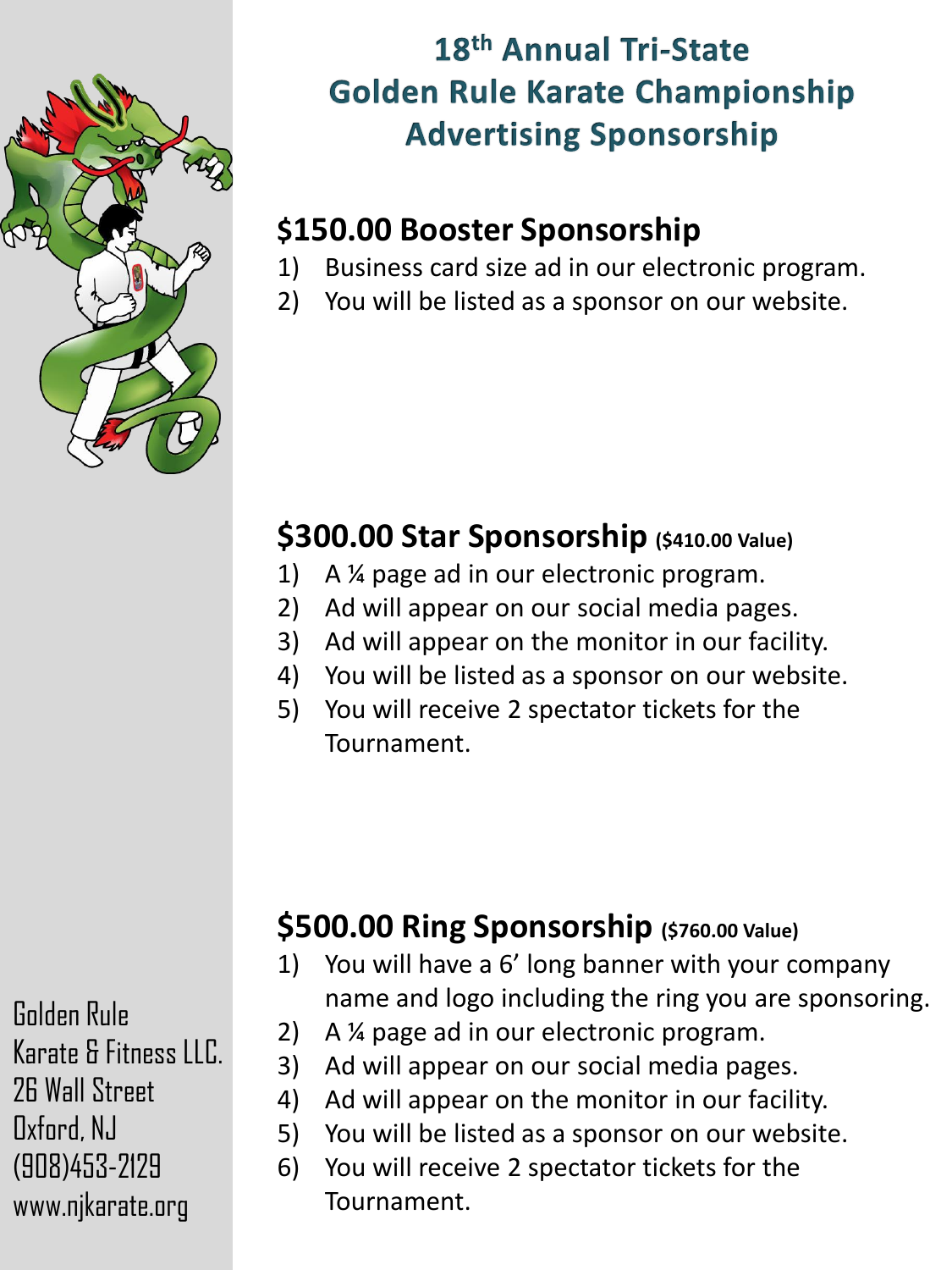

### **\$150.00 Booster Sponsorship**

- 1) Business card size ad in our electronic program.
- 2) You will be listed as a sponsor on our website.

## **\$300.00 Star Sponsorship (\$410.00 Value)**

- 1) A ¼ page ad in our electronic program.
- 2) Ad will appear on our social media pages.
- 3) Ad will appear on the monitor in our facility.
- 4) You will be listed as a sponsor on our website.
- 5) You will receive 2 spectator tickets for the Tournament.

## **\$500.00 Ring Sponsorship (\$760.00 Value)**

- 1) You will have a 6' long banner with your company name and logo including the ring you are sponsoring.
- 2) A ¼ page ad in our electronic program.
- 3) Ad will appear on our social media pages.
- 4) Ad will appear on the monitor in our facility.
- 5) You will be listed as a sponsor on our website.
- 6) You will receive 2 spectator tickets for the Tournament.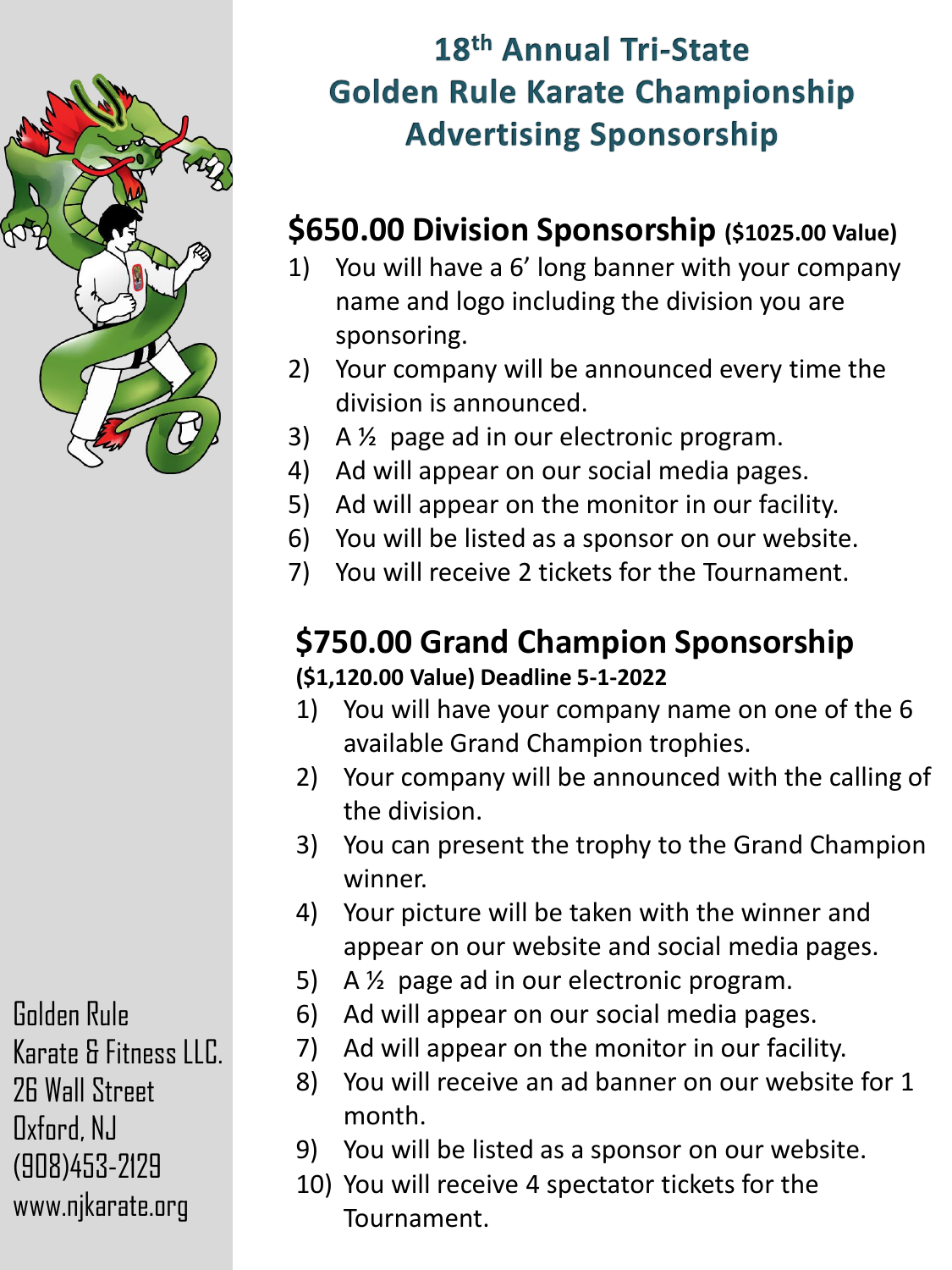

#### **\$650.00 Division Sponsorship (\$1025.00 Value)**

- 1) You will have a 6' long banner with your company name and logo including the division you are sponsoring.
- 2) Your company will be announced every time the division is announced.
- 3) A ½ page ad in our electronic program.
- 4) Ad will appear on our social media pages.
- 5) Ad will appear on the monitor in our facility.
- 6) You will be listed as a sponsor on our website.
- 7) You will receive 2 tickets for the Tournament.

#### **\$750.00 Grand Champion Sponsorship (\$1,120.00 Value) Deadline 5-1-2022**

- 1) You will have your company name on one of the 6 available Grand Champion trophies.
- 2) Your company will be announced with the calling of the division.
- 3) You can present the trophy to the Grand Champion winner.
- 4) Your picture will be taken with the winner and appear on our website and social media pages.
- 5) A ½ page ad in our electronic program.
- 6) Ad will appear on our social media pages.
- 7) Ad will appear on the monitor in our facility.
- 8) You will receive an ad banner on our website for 1 month.
- 9) You will be listed as a sponsor on our website.
- 10) You will receive 4 spectator tickets for the Tournament.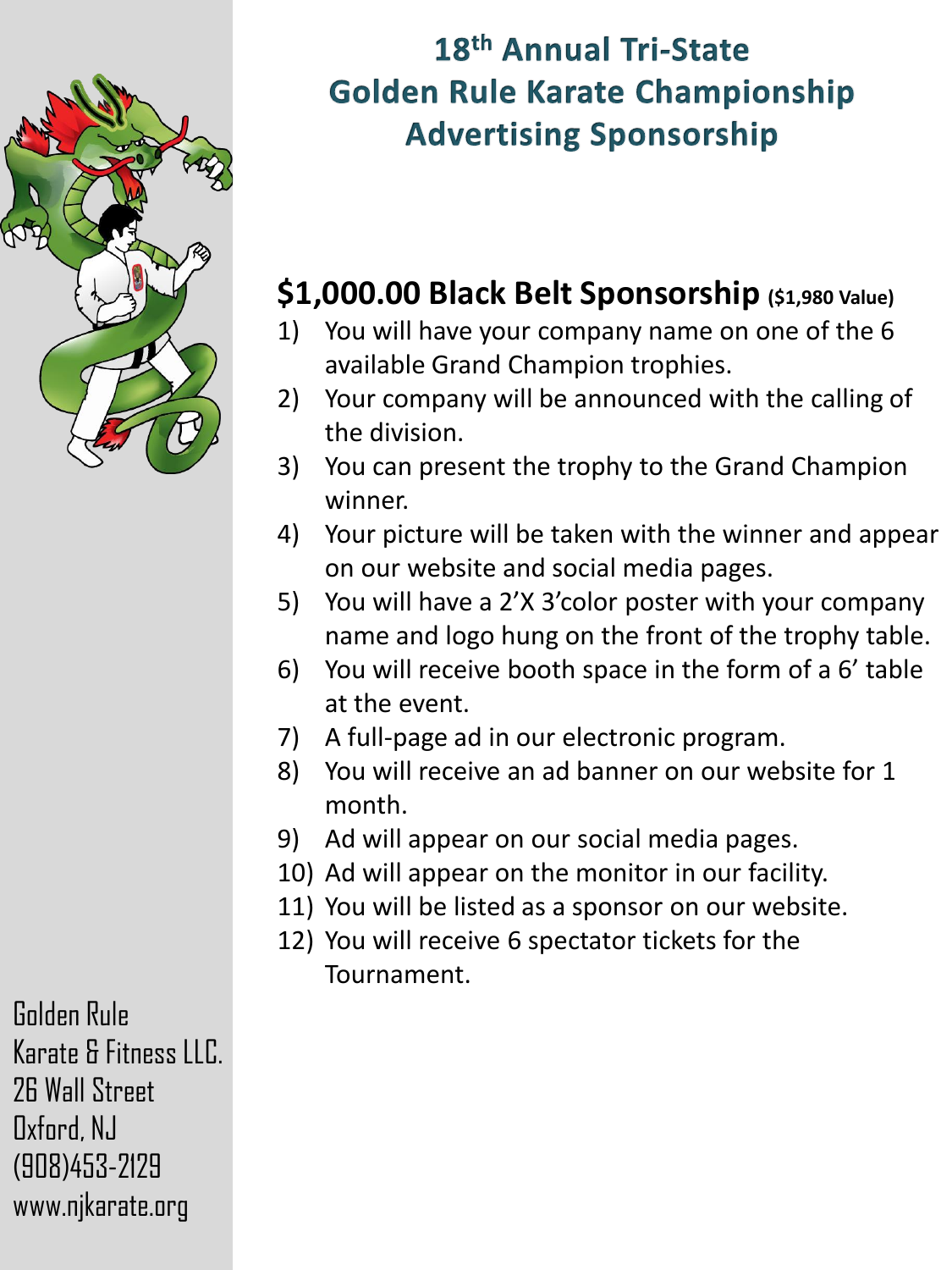

### **\$1,000.00 Black Belt Sponsorship (\$1,980 Value)**

- 1) You will have your company name on one of the 6 available Grand Champion trophies.
- 2) Your company will be announced with the calling of the division.
- 3) You can present the trophy to the Grand Champion winner.
- 4) Your picture will be taken with the winner and appear on our website and social media pages.
- 5) You will have a 2'X 3'color poster with your company name and logo hung on the front of the trophy table.
- 6) You will receive booth space in the form of a 6' table at the event.
- 7) A full-page ad in our electronic program.
- 8) You will receive an ad banner on our website for 1 month.
- 9) Ad will appear on our social media pages.
- 10) Ad will appear on the monitor in our facility.
- 11) You will be listed as a sponsor on our website.
- 12) You will receive 6 spectator tickets for the Tournament.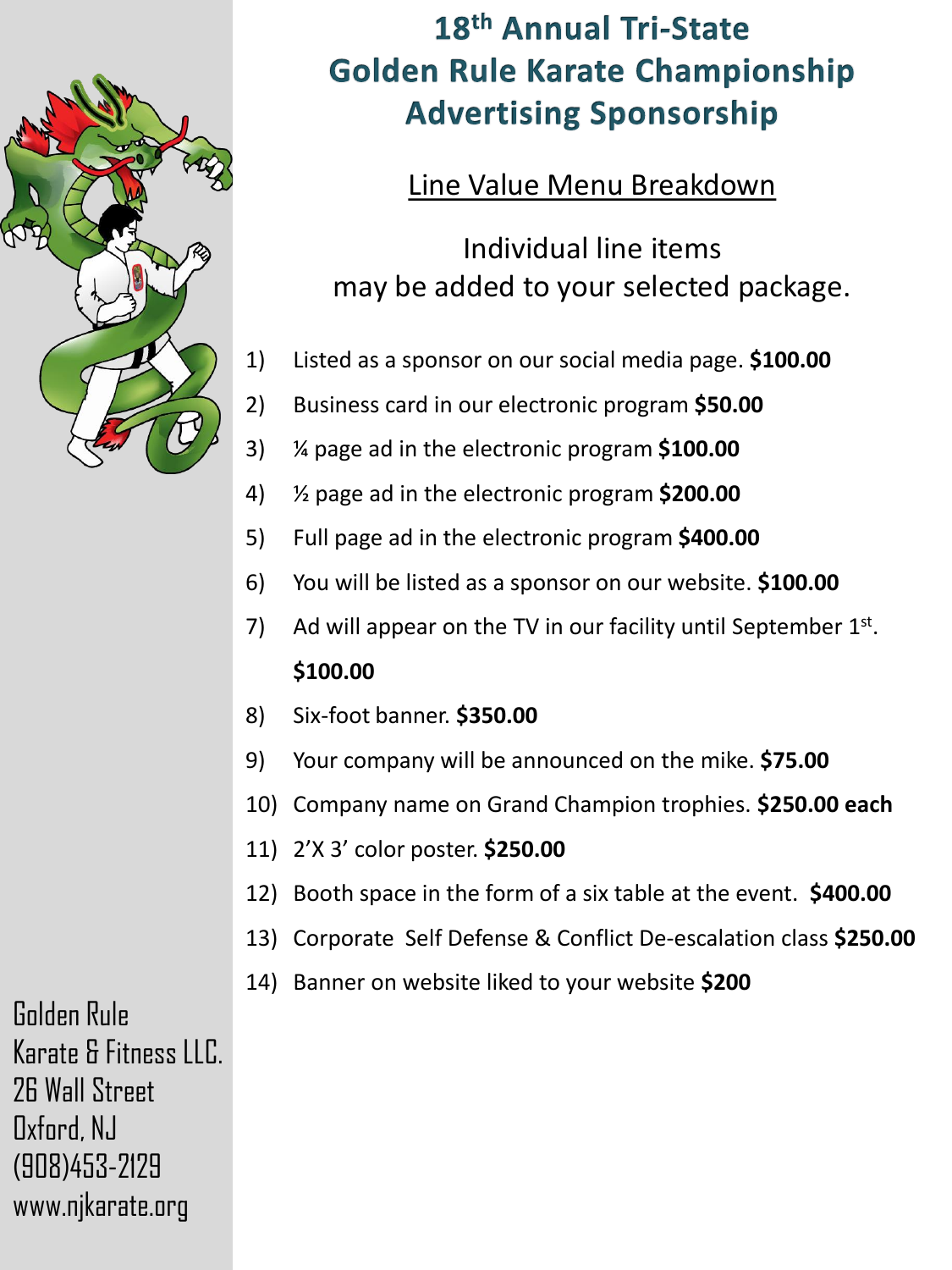

#### Line Value Menu Breakdown

Individual line items may be added to your selected package.

- 1) Listed as a sponsor on our social media page. **\$100.00**
- 2) Business card in our electronic program **\$50.00**
- 3) ¼ page ad in the electronic program **\$100.00**
- 4) ½ page ad in the electronic program **\$200.00**
- 5) Full page ad in the electronic program **\$400.00**
- 6) You will be listed as a sponsor on our website. **\$100.00**
- 7) Ad will appear on the TV in our facility until September  $1<sup>st</sup>$ . **\$100.00**
- 8) Six-foot banner. **\$350.00**
- 9) Your company will be announced on the mike. **\$75.00**
- 10) Company name on Grand Champion trophies. **\$250.00 each**
- 11) 2'X 3' color poster. **\$250.00**
- 12) Booth space in the form of a six table at the event. **\$400.00**
- 13) Corporate Self Defense & Conflict De-escalation class **\$250.00**
- 14) Banner on website liked to your website **\$200**